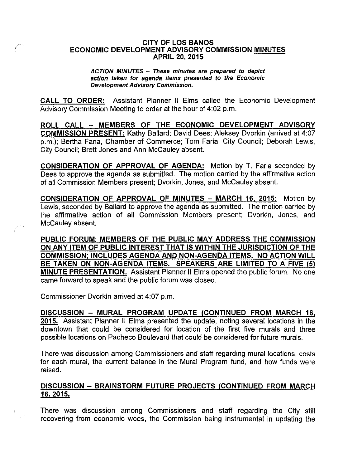## CITY OF LOS BANOS ECONOMIC DEVELOPMENT ADVISORY COMMISSION MINUTES APRIL 20, 2015

ACTION MINUTES - These minutes are prepared to depict action taken for agenda items presented to the Economic Development Advisory Commission.

CALL TO ORDER: Assistant Planner II Elms called the Economic Development Advisory Commission Meeting to order at the hour of 4:02 p.m.

ROLL CALL - MEMBERS OF THE ECONOMIC DEVELOPMENT ADVISORY COMMISSION PRESENT: Kathy Ballard; David Dees; Aleksey Dvorkin (arrived at 4:07 p.m.); Bertha Faria, Chamber of Commerce; Tom Faria, City Council; Deborah Lewis, City Council; Brett Jones and Ann McCauley absent.

CONSIDERATION OF APPROVAL OF AGENDA: Motion by T. Faria seconded by Dees to approve the agenda as submitted. The motion carried by the affirmative action of all Commission Members present; Dvorkin, Jones, and McCauley absent.

CONSIDERATION OF APPROVAL OF MINUTES - MARCH 16, 2015: Motion by Lewis, seconded by Ballard to approve the agenda as submitted. The motion carried by the affirmative action of all Commission Members present; Dvorkin, Jones, and McCauley absent.

PUBLIC FORUM: MEMBERS OF THE PUBLIC MAY ADDRESS THE COMMISSION ON ANY ITEM OF PUBLIC INTEREST THAT IS WITHIN THE JURISDICTION OF THE COMMISSION: INCLUDES AGENDA AND NON-AGENDA ITEMS. NO ACTION WILL BE TAKEN ON NON-AGENDA ITEMS. SPEAKERS ARE LIMITED TO A FIVE (5) MINUTE PRESENTATION. Assistant Planner II Elms opened the public forum. No one came forward to speak and the public forum was closed.

Commissioner Dvorkin arrived at 4:07 p.m.

DISCUSSION - MURAL PROGRAM UPDATE (CONTINUED FROM MARCH 16. 2015. Assistant Planner II Elms presented the update, noting several locations in the downtown that could be considered for location of the first five murals and three possible locations on Pacheco Boulevard that could be considered for future murals.

There was discussion among Commissioners and staff regarding mural locations, costs for each mural, the current balance in the Mural Program fund, and how funds were raised.

## DISCUSSION - BRAINSTORM FUTURE PROJECTS (CONTINUED FROM MARCH 16,2015.

There was discussion among Commissioners and staff regarding the City still recovering from economic woes, the Commission being instrumental in updating the